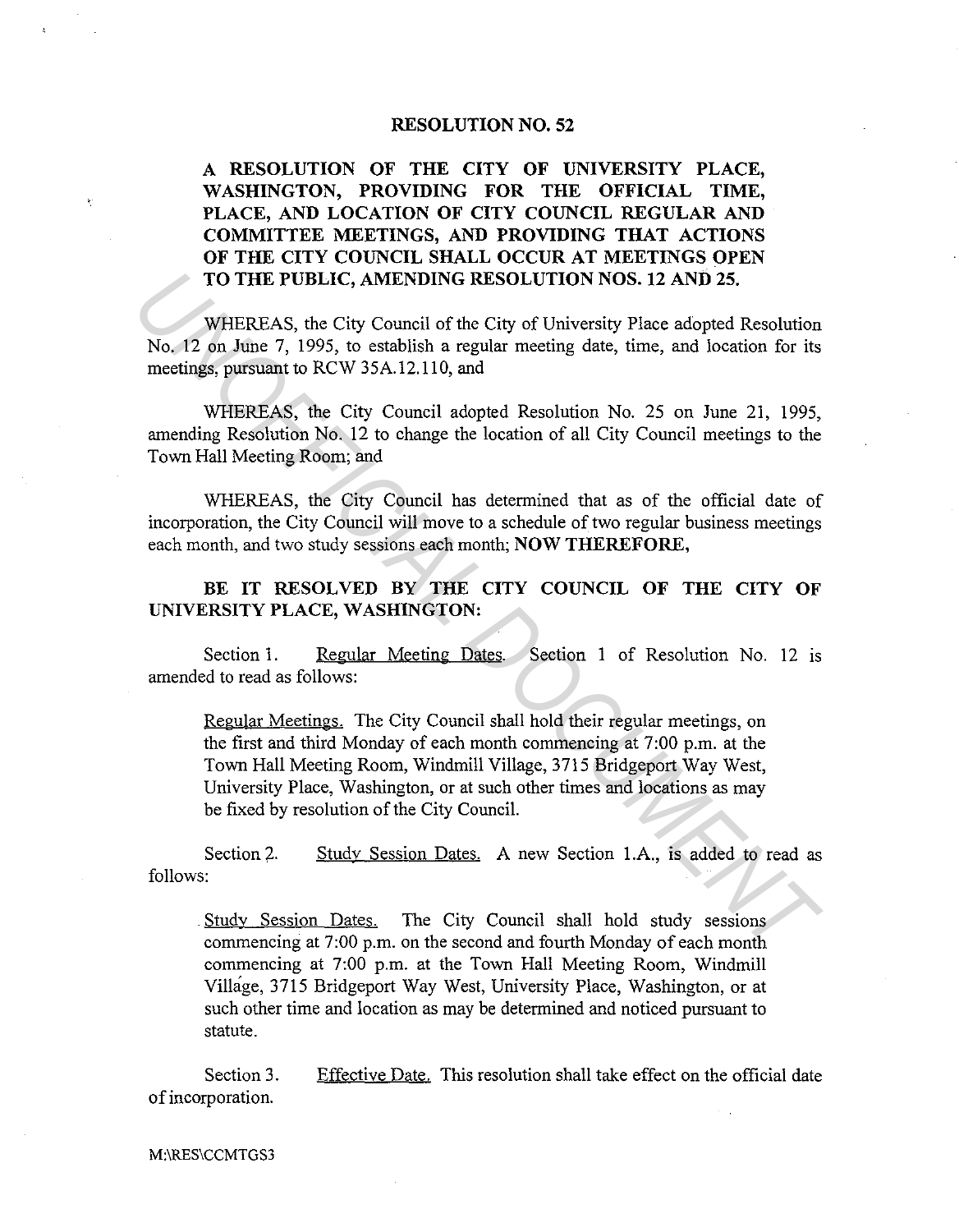## **RESOLUTION NO. 52**

## **A RESOLUTION OF THE CITY OF UNIVERSITY PLACE, WASHINGTON, PROVIDING FOR THE OFFICIAL TIME, PLACE, AND LOCATION OF CITY COUNCIL REGULAR AND COMMITTEE MEETINGS, AND PROVIDING THAT ACTIONS OF THE CITY COUNCIL SHALL OCCUR AT MEETINGS OPEN TO THE PUBLIC, AMENDING RESOLUTION NOS. 12 AND 25.**

WHEREAS, the City Council of the City of University Place adopted Resolution No. 12 on June 7, 1995, to establish a regular meeting date, time, and location for its meetings, pursuant to RCW 35A.12.110, and

WHEREAS, the City Council adopted Resolution No. 25 on June 21, 1995, amending Resolution No. 12 to change the location of all City Council meetings to the Town Hall Meeting Room; and

WHEREAS, the City Council has determined that as of the official date of incorporation, the City Council will move to a schedule of two regular business meetings each month, and two study sessions each month; **NOW THEREFORE,** 

BE IT RESOLVED BY THE CITY COUNCIL OF THE CITY OF **UNIVERSITY PLACE, WASHINGTON:** 

Section 1. Regular Meeting Dates. Section 1 of Resolution No. 12 is amended to read as follows:

Regular Meetings. The City Council shall hold their regular meetings, on the first and third Monday of each month commencing at 7:00 p.m. at the Town Hall Meeting Room, Windmill Village, 3715 Bridgeport Way West, University Place, Washington, or at such other times and locations as may be fixed by resolution of the City Council. **TO THE PUBLIC, AMENDING RESOLUTION NOS. 12 AND 25.**<br>
WHEREAS, the City council of the City of University Place adopted Resolution<br>
No. 12 on June 7, 1995, to establish a regular meeting date, time, and location for its<br>
m

Section 2. follows: Study Session Dates. A new Section l.A., is added to read as

. Study Session Dates. The City Council shall hold study sessions commencing at 7:00 p.m. on the second and fourth Monday of each month commencing at 7:00 p.m. at the Town Hall Meeting Room, Windmill Village, 3715 Bridgeport Way West, University Place, Washington, or at such other time and location as may be determined and noticed pursuant to statute.

Section 3. of incorporation. Effective Date. This resolution shall take effect on the official date

M:\RES\CCMTGS3

 $\tilde{\mathbf{r}}_i$